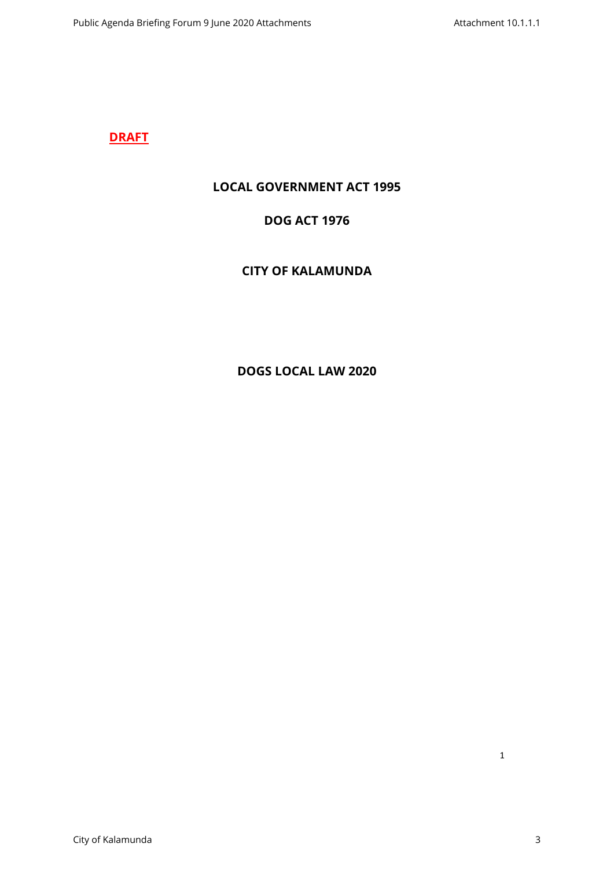## **DRAFT**

## **LOCAL GOVERNMENT ACT 1995**

# **DOG ACT 1976**

# **CITY OF KALAMUNDA**

# **DOGS LOCAL LAW 2020**

1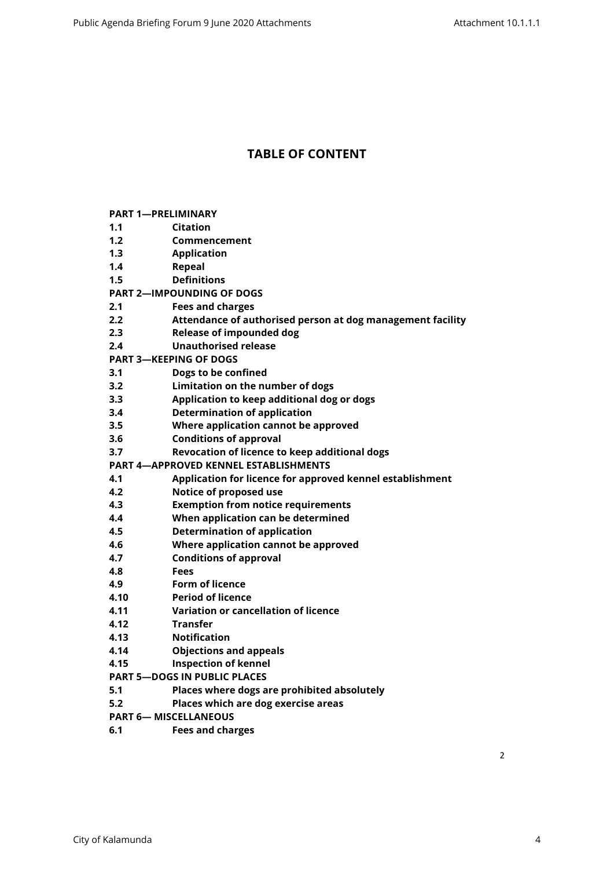## **TABLE OF CONTENT**

|  | <b>PART 1-PRELIMINARY</b> |
|--|---------------------------|
|  |                           |

- **[1.1 Citation](#page-3-1)**
- **[1.2 Commencement](#page-3-2)**
- **[1.3 Application](#page-3-3)**
- **[1.4 Repeal](#page-3-4)**
- **[1.5 Definitions](#page-3-5)**
- **[PART 2—IMPOUNDING OF DOGS](#page-5-0)**
- **[2.1 Fees and charges](#page-5-1)**
- **[2.2 Attendance of authorised person at dog management facility](#page-5-2)**
- **[2.3 Release of impounded dog](#page-5-3)**
- **[2.4 Unauthorised release](#page-5-4)**
- **[PART 3—KEEPING OF DOGS](#page-6-0)**
- **[3.1 Dogs to be confined](#page-6-1)**
- **[3.2 Limitation on the number of dogs](#page-6-2)**
- **[3.3 Application to keep additional dog or dogs](#page-7-0)**
- **[3.4 Determination of application](#page-8-0)**
- **[3.5 Where application cannot be approved](#page-8-1)**
- **[3.6 Conditions of approval](#page-8-2)**
- **[3.7 Revocation of licence to keep additional dogs](#page-8-3)**
- **[PART 4—APPROVED KENNEL ESTABLISHMENTS](#page-9-0)**
- **[4.1 Application for licence for approved kennel establishment](#page-9-1)**
- **[4.2 Notice of proposed use](#page-9-2)**
- **[4.3 Exemption from notice requirements](#page-9-3)**
- **[4.4 When application can be determined](#page-10-0)**
- **[4.5 Determination of application](#page-10-1)**
- **[4.6 Where application cannot be approved](#page-10-2)**
- **[4.7 Conditions of approval](#page-11-0)**
- **[4.8 Fees](#page-11-1)**
- **[4.9 Form of licence](#page-11-2)**
- **[4.10 Period of licence](#page-11-3)**
- **[4.11 Variation or cancellation of licence](#page-12-0)**
- **[4.12 Transfer](#page-12-1)**
- **[4.13 Notification](#page-13-0)**
- **[4.14 Objections and appeals](#page-13-1)**
- **[4.15 Inspection of kennel](#page-13-2)**
- **[PART 5—DOGS IN PUBLIC PLACES](#page-13-3)**
- **[5.1 Places where dogs are prohibited absolutely](#page-13-4)**
- **[5.2 Places which are dog exercise areas](#page-14-0)**
- **[PART 6— MISCELLANEOUS](#page-14-1)**
- **[6.1 Fees and charges](#page-14-2)**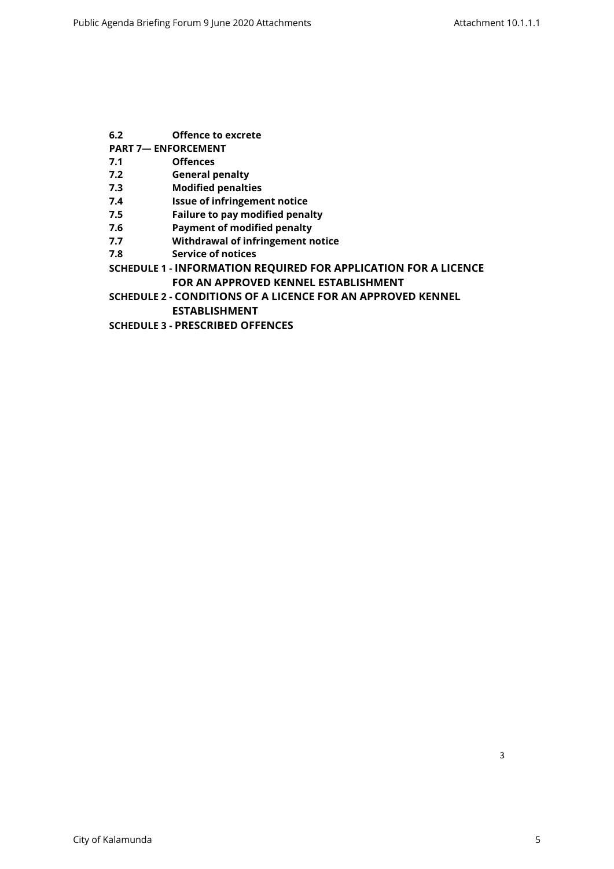- **[6.2 Offence to excrete](#page-14-3)**
- **[PART 7— ENFORCEMENT](#page-14-4)**
- **[7.1 Offences](#page-14-5)**
- **[7.2 General penalty](#page-14-6)**
- **[7.3 Modified penalties](#page-15-0)**
- **[7.4 Issue of infringement notice](#page-15-1)**
- **[7.5 Failure to pay modified penalty](#page-15-2)**
- **[7.6 Payment of modified penalty](#page-15-3)**
- **[7.7 Withdrawal of infringement notice](#page-15-4)**
- **[7.8 Service of notices](#page-16-0)**
- **SCHEDULE 1 [INFORMATION REQUIRED FOR APPLICATION FOR A LICENCE](#page-17-0)  [FOR AN APPROVED KENNEL ESTABLISHMENT](#page-17-0)**
- **SCHEDULE 2 [CONDITIONS OF A LICENCE FOR AN APPROVED KENNEL](#page-19-0)  [ESTABLISHMENT](#page-19-0)**
- **SCHEDULE 3 [PRESCRIBED OFFENCES](#page-22-0)**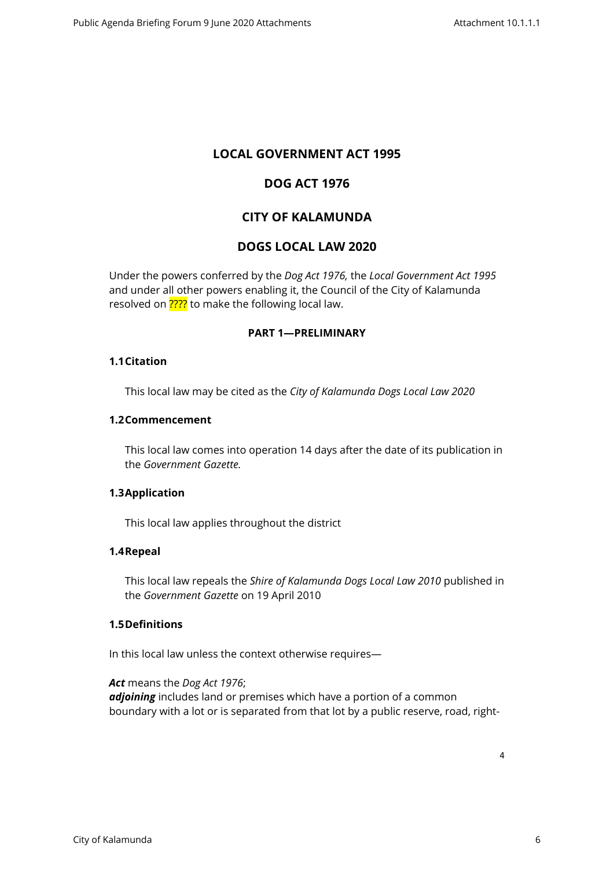## **LOCAL GOVERNMENT ACT 1995**

## **DOG ACT 1976**

## **CITY OF KALAMUNDA**

## **DOGS LOCAL LAW 2020**

Under the powers conferred by the *Dog Act 1976,* the *Local Government Act 1995*  and under all other powers enabling it, the Council of the City of Kalamunda resolved on **????** to make the following local law.

### <span id="page-3-0"></span>**PART 1—PRELIMINARY**

#### <span id="page-3-1"></span>**1.1Citation**

This local law may be cited as the *City of Kalamunda Dogs Local Law 2020*

#### <span id="page-3-2"></span>**1.2Commencement**

This local law comes into operation 14 days after the date of its publication in the *Government Gazette.*

#### <span id="page-3-3"></span>**1.3Application**

This local law applies throughout the district

### <span id="page-3-4"></span>**1.4Repeal**

This local law repeals the *Shire of Kalamunda Dogs Local Law 2010* published in the *Government Gazette* on 19 April 2010

#### **1.5Definitions**

<span id="page-3-5"></span>In this local law unless the context otherwise requires—

*Act* means the *Dog Act 1976*; *adjoining* includes land or premises which have a portion of a common boundary with a lot or is separated from that lot by a public reserve, road, right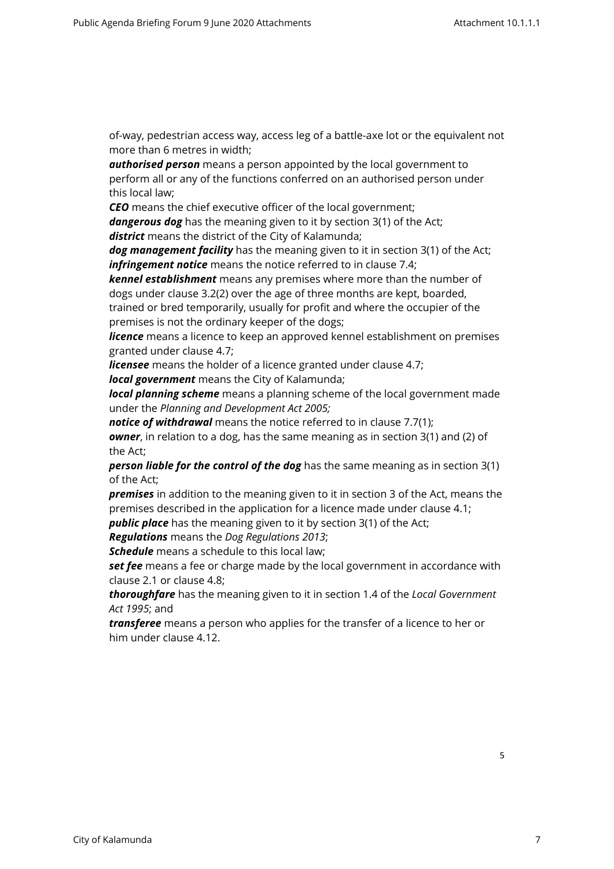of-way, pedestrian access way, access leg of a battle-axe lot or the equivalent not more than 6 metres in width;

*authorised person* means a person appointed by the local government to perform all or any of the functions conferred on an authorised person under this local law;

*CEO* means the chief executive officer of the local government;

*dangerous dog* has the meaning given to it by section 3(1) of the Act; *district* means the district of the City of Kalamunda;

*dog management facility* has the meaning given to it in section 3(1) of the Act; *infringement notice* means the notice referred to in clause 7.4;

*kennel establishment* means any premises where more than the number of dogs under clause 3.2(2) over the age of three months are kept, boarded, trained or bred temporarily, usually for profit and where the occupier of the

premises is not the ordinary keeper of the dogs;

*licence* means a licence to keep an approved kennel establishment on premises granted under clause 4.7;

*licensee* means the holder of a licence granted under clause 4.7;

*local government* means the City of Kalamunda;

*local planning scheme* means a planning scheme of the local government made under the *Planning and Development Act 2005;*

*notice of withdrawal* means the notice referred to in clause 7.7(1); *owner*, in relation to a dog, has the same meaning as in section 3(1) and (2) of the Act;

*person liable for the control of the dog* has the same meaning as in section 3(1) of the Act;

*premises* in addition to the meaning given to it in section 3 of the Act, means the premises described in the application for a licence made under clause 4.1;

**public place** has the meaning given to it by section 3(1) of the Act;

*Regulations* means the *Dog Regulations 2013*;

*Schedule* means a schedule to this local law;

**set fee** means a fee or charge made by the local government in accordance with clause 2.1 or clause 4.8;

*thoroughfare* has the meaning given to it in section 1.4 of the *Local Government Act 1995*; and

*transferee* means a person who applies for the transfer of a licence to her or him under clause 4.12.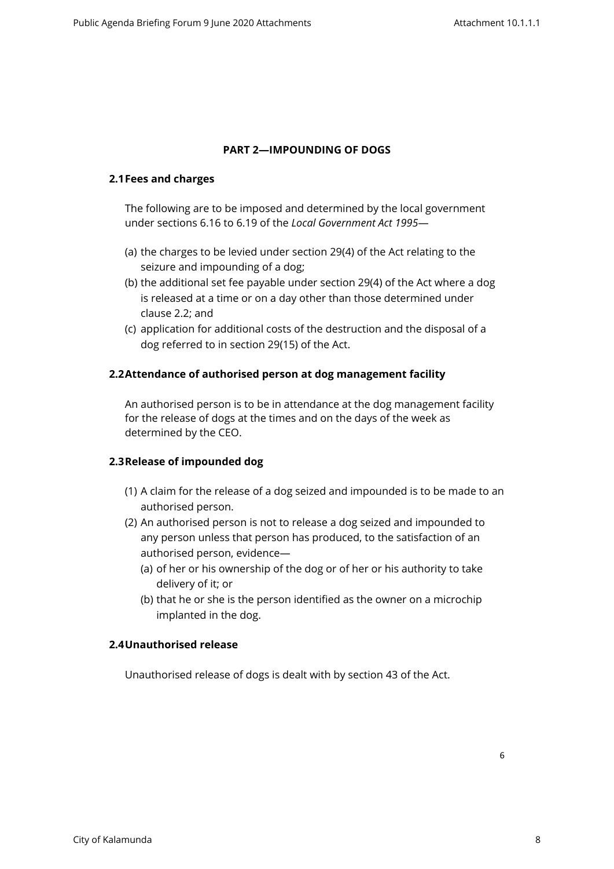### <span id="page-5-0"></span>**PART 2—IMPOUNDING OF DOGS**

#### <span id="page-5-1"></span>**2.1Fees and charges**

The following are to be imposed and determined by the local government under sections 6.16 to 6.19 of the *Local Government Act 1995*—

- (a) the charges to be levied under section 29(4) of the Act relating to the seizure and impounding of a dog;
- (b) the additional set fee payable under section 29(4) of the Act where a dog is released at a time or on a day other than those determined under clause 2.2; and
- (c) application for additional costs of the destruction and the disposal of a dog referred to in section 29(15) of the Act.

### <span id="page-5-2"></span>**2.2Attendance of authorised person at dog management facility**

An authorised person is to be in attendance at the dog management facility for the release of dogs at the times and on the days of the week as determined by the CEO.

### <span id="page-5-3"></span>**2.3Release of impounded dog**

- (1) A claim for the release of a dog seized and impounded is to be made to an authorised person.
- (2) An authorised person is not to release a dog seized and impounded to any person unless that person has produced, to the satisfaction of an authorised person, evidence—
	- (a) of her or his ownership of the dog or of her or his authority to take delivery of it; or
	- (b) that he or she is the person identified as the owner on a microchip implanted in the dog.

#### <span id="page-5-4"></span>**2.4Unauthorised release**

Unauthorised release of dogs is dealt with by section 43 of the Act.

6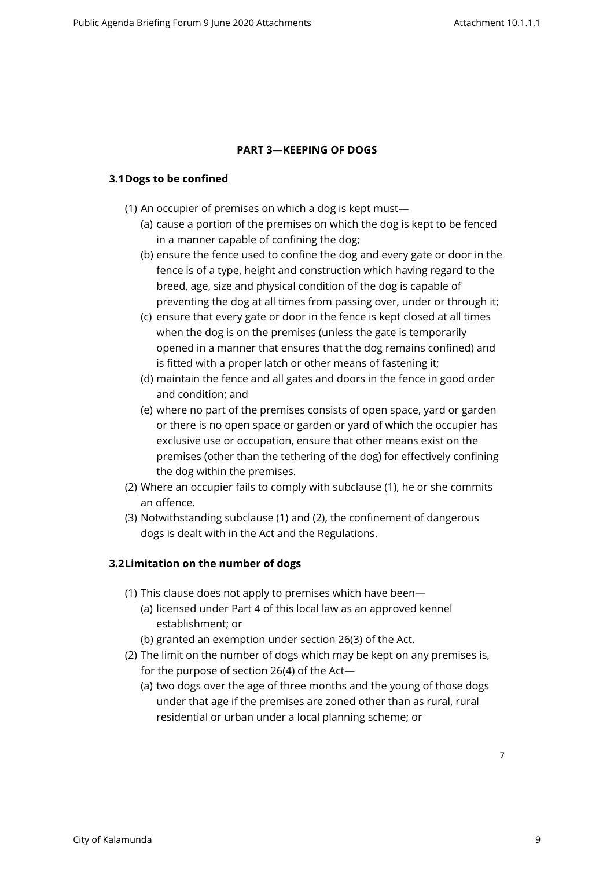### <span id="page-6-0"></span>**PART 3—KEEPING OF DOGS**

### <span id="page-6-1"></span>**3.1Dogs to be confined**

- (1) An occupier of premises on which a dog is kept must—
	- (a) cause a portion of the premises on which the dog is kept to be fenced in a manner capable of confining the dog;
	- (b) ensure the fence used to confine the dog and every gate or door in the fence is of a type, height and construction which having regard to the breed, age, size and physical condition of the dog is capable of preventing the dog at all times from passing over, under or through it;
	- (c) ensure that every gate or door in the fence is kept closed at all times when the dog is on the premises (unless the gate is temporarily opened in a manner that ensures that the dog remains confined) and is fitted with a proper latch or other means of fastening it;
	- (d) maintain the fence and all gates and doors in the fence in good order and condition; and
	- (e) where no part of the premises consists of open space, yard or garden or there is no open space or garden or yard of which the occupier has exclusive use or occupation, ensure that other means exist on the premises (other than the tethering of the dog) for effectively confining the dog within the premises.
- (2) Where an occupier fails to comply with subclause (1), he or she commits an offence.
- (3) Notwithstanding subclause (1) and (2), the confinement of dangerous dogs is dealt with in the Act and the Regulations.

## <span id="page-6-2"></span>**3.2Limitation on the number of dogs**

- (1) This clause does not apply to premises which have been—
	- (a) licensed under Part 4 of this local law as an approved kennel establishment; or
	- (b) granted an exemption under section 26(3) of the Act.
- (2) The limit on the number of dogs which may be kept on any premises is, for the purpose of section 26(4) of the Act—
	- (a) two dogs over the age of three months and the young of those dogs under that age if the premises are zoned other than as rural, rural residential or urban under a local planning scheme; or

7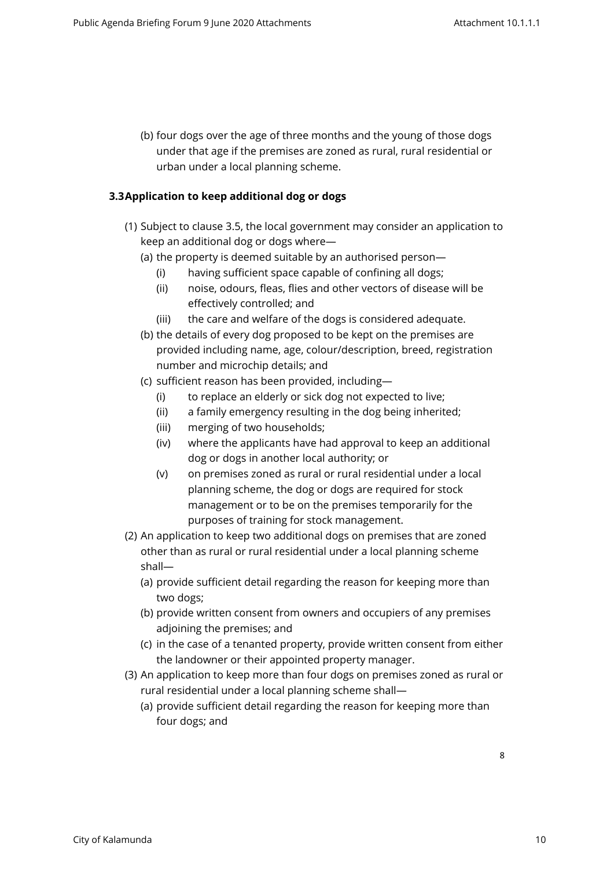(b) four dogs over the age of three months and the young of those dogs under that age if the premises are zoned as rural, rural residential or urban under a local planning scheme.

## <span id="page-7-0"></span>**3.3Application to keep additional dog or dogs**

- (1) Subject to clause 3.5, the local government may consider an application to keep an additional dog or dogs where—
	- (a) the property is deemed suitable by an authorised person—
		- (i) having sufficient space capable of confining all dogs;
		- (ii) noise, odours, fleas, flies and other vectors of disease will be effectively controlled; and
		- (iii) the care and welfare of the dogs is considered adequate.
	- (b) the details of every dog proposed to be kept on the premises are provided including name, age, colour/description, breed, registration number and microchip details; and
	- (c) sufficient reason has been provided, including—
		- (i) to replace an elderly or sick dog not expected to live;
		- (ii) a family emergency resulting in the dog being inherited;
		- (iii) merging of two households;
		- (iv) where the applicants have had approval to keep an additional dog or dogs in another local authority; or
		- (v) on premises zoned as rural or rural residential under a local planning scheme, the dog or dogs are required for stock management or to be on the premises temporarily for the purposes of training for stock management.
- (2) An application to keep two additional dogs on premises that are zoned other than as rural or rural residential under a local planning scheme shall—
	- (a) provide sufficient detail regarding the reason for keeping more than two dogs;
	- (b) provide written consent from owners and occupiers of any premises adjoining the premises; and
	- (c) in the case of a tenanted property, provide written consent from either the landowner or their appointed property manager.
- (3) An application to keep more than four dogs on premises zoned as rural or rural residential under a local planning scheme shall—
	- (a) provide sufficient detail regarding the reason for keeping more than four dogs; and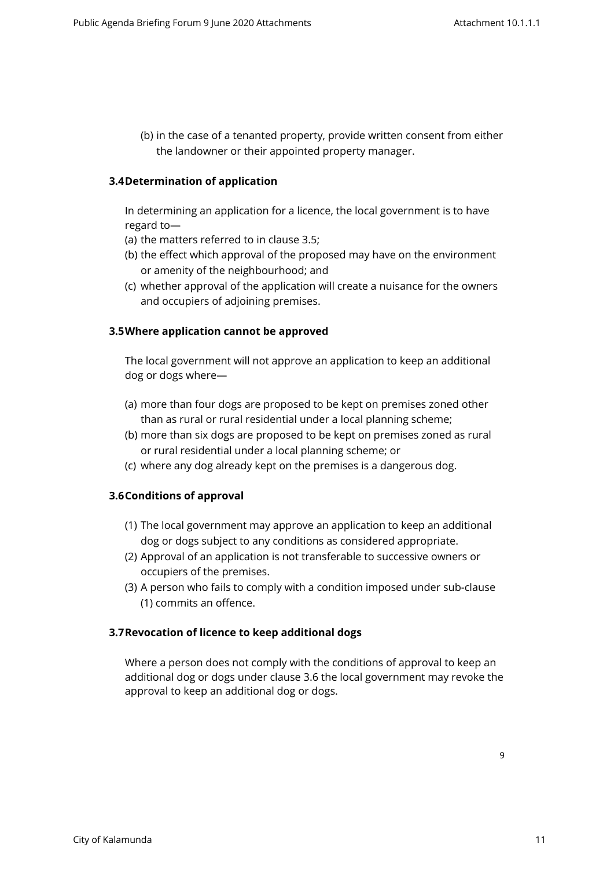(b) in the case of a tenanted property, provide written consent from either the landowner or their appointed property manager.

#### <span id="page-8-0"></span>**3.4Determination of application**

In determining an application for a licence, the local government is to have regard to—

- (a) the matters referred to in clause 3.5;
- (b) the effect which approval of the proposed may have on the environment or amenity of the neighbourhood; and
- (c) whether approval of the application will create a nuisance for the owners and occupiers of adjoining premises.

#### <span id="page-8-1"></span>**3.5Where application cannot be approved**

The local government will not approve an application to keep an additional dog or dogs where—

- (a) more than four dogs are proposed to be kept on premises zoned other than as rural or rural residential under a local planning scheme;
- (b) more than six dogs are proposed to be kept on premises zoned as rural or rural residential under a local planning scheme; or
- (c) where any dog already kept on the premises is a dangerous dog.

#### <span id="page-8-2"></span>**3.6Conditions of approval**

- (1) The local government may approve an application to keep an additional dog or dogs subject to any conditions as considered appropriate.
- (2) Approval of an application is not transferable to successive owners or occupiers of the premises.
- (3) A person who fails to comply with a condition imposed under sub-clause (1) commits an offence.

#### <span id="page-8-3"></span>**3.7Revocation of licence to keep additional dogs**

Where a person does not comply with the conditions of approval to keep an additional dog or dogs under clause 3.6 the local government may revoke the approval to keep an additional dog or dogs.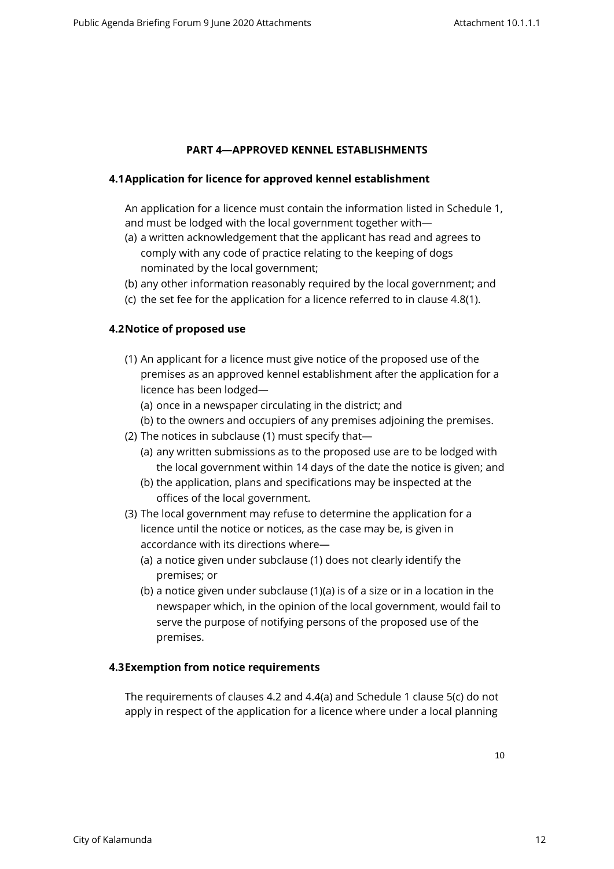### <span id="page-9-0"></span>**PART 4—APPROVED KENNEL ESTABLISHMENTS**

#### <span id="page-9-1"></span>**4.1Application for licence for approved kennel establishment**

An application for a licence must contain the information listed in Schedule 1, and must be lodged with the local government together with—

- (a) a written acknowledgement that the applicant has read and agrees to comply with any code of practice relating to the keeping of dogs nominated by the local government;
- (b) any other information reasonably required by the local government; and
- (c) the set fee for the application for a licence referred to in clause 4.8(1).

#### <span id="page-9-2"></span>**4.2Notice of proposed use**

- (1) An applicant for a licence must give notice of the proposed use of the premises as an approved kennel establishment after the application for a licence has been lodged—
	- (a) once in a newspaper circulating in the district; and
	- (b) to the owners and occupiers of any premises adjoining the premises.
- (2) The notices in subclause (1) must specify that—
	- (a) any written submissions as to the proposed use are to be lodged with the local government within 14 days of the date the notice is given; and
	- (b) the application, plans and specifications may be inspected at the offices of the local government.
- (3) The local government may refuse to determine the application for a licence until the notice or notices, as the case may be, is given in accordance with its directions where—
	- (a) a notice given under subclause (1) does not clearly identify the premises; or
	- (b) a notice given under subclause (1)(a) is of a size or in a location in the newspaper which, in the opinion of the local government, would fail to serve the purpose of notifying persons of the proposed use of the premises.

#### <span id="page-9-3"></span>**4.3Exemption from notice requirements**

The requirements of clauses 4.2 and 4.4(a) and Schedule 1 clause 5(c) do not apply in respect of the application for a licence where under a local planning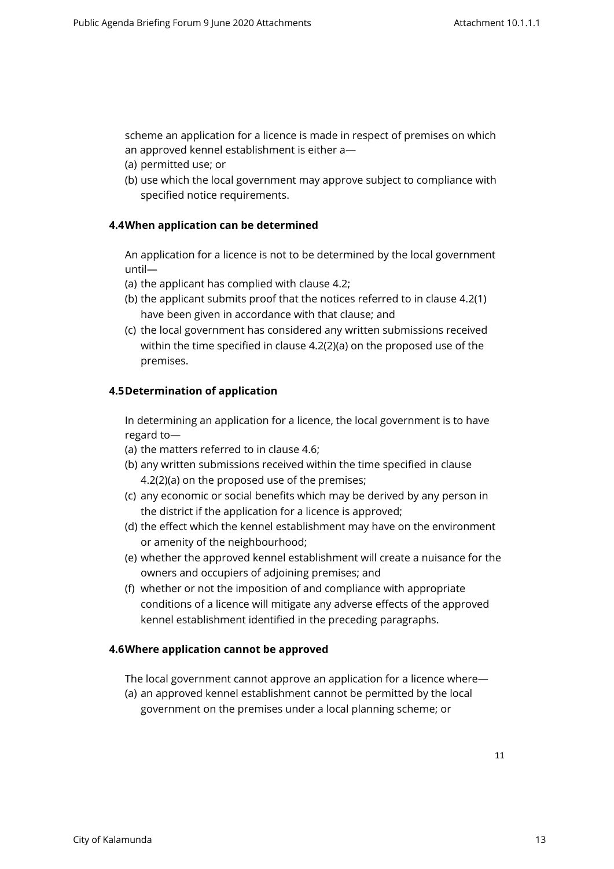scheme an application for a licence is made in respect of premises on which an approved kennel establishment is either a—

- (a) permitted use; or
- <span id="page-10-0"></span>(b) use which the local government may approve subject to compliance with specified notice requirements.

## **4.4When application can be determined**

An application for a licence is not to be determined by the local government until—

- (a) the applicant has complied with clause 4.2;
- (b) the applicant submits proof that the notices referred to in clause 4.2(1) have been given in accordance with that clause; and
- (c) the local government has considered any written submissions received within the time specified in clause 4.2(2)(a) on the proposed use of the premises.

## <span id="page-10-1"></span>**4.5Determination of application**

In determining an application for a licence, the local government is to have regard to—

- (a) the matters referred to in clause 4.6;
- (b) any written submissions received within the time specified in clause 4.2(2)(a) on the proposed use of the premises;
- (c) any economic or social benefits which may be derived by any person in the district if the application for a licence is approved;
- (d) the effect which the kennel establishment may have on the environment or amenity of the neighbourhood;
- (e) whether the approved kennel establishment will create a nuisance for the owners and occupiers of adjoining premises; and
- (f) whether or not the imposition of and compliance with appropriate conditions of a licence will mitigate any adverse effects of the approved kennel establishment identified in the preceding paragraphs.

### <span id="page-10-2"></span>**4.6Where application cannot be approved**

The local government cannot approve an application for a licence where—

(a) an approved kennel establishment cannot be permitted by the local government on the premises under a local planning scheme; or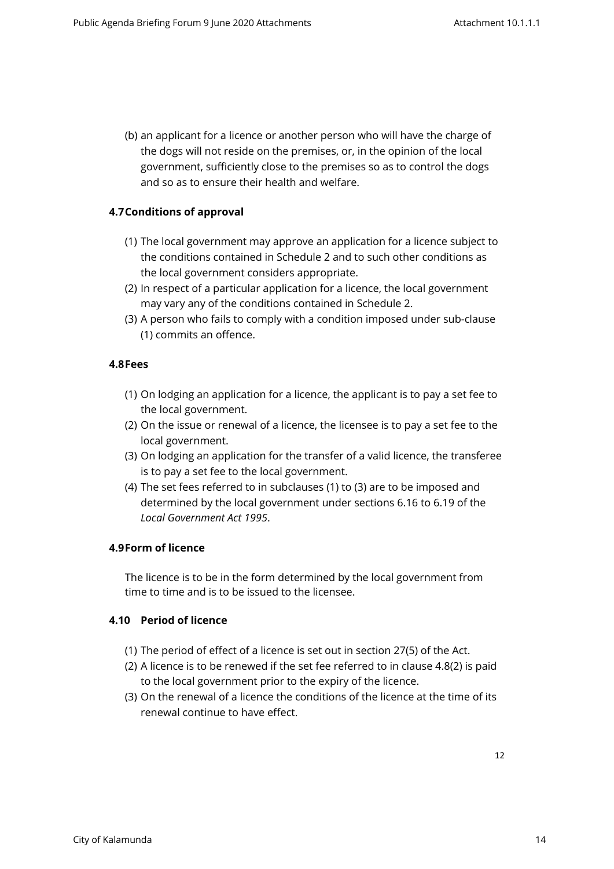(b) an applicant for a licence or another person who will have the charge of the dogs will not reside on the premises, or, in the opinion of the local government, sufficiently close to the premises so as to control the dogs and so as to ensure their health and welfare.

## <span id="page-11-0"></span>**4.7Conditions of approval**

- (1) The local government may approve an application for a licence subject to the conditions contained in Schedule 2 and to such other conditions as the local government considers appropriate.
- (2) In respect of a particular application for a licence, the local government may vary any of the conditions contained in Schedule 2.
- (3) A person who fails to comply with a condition imposed under sub-clause (1) commits an offence.

#### <span id="page-11-1"></span>**4.8Fees**

- (1) On lodging an application for a licence, the applicant is to pay a set fee to the local government.
- (2) On the issue or renewal of a licence, the licensee is to pay a set fee to the local government.
- (3) On lodging an application for the transfer of a valid licence, the transferee is to pay a set fee to the local government.
- (4) The set fees referred to in subclauses (1) to (3) are to be imposed and determined by the local government under sections 6.16 to 6.19 of the *Local Government Act 1995*.

### <span id="page-11-2"></span>**4.9Form of licence**

The licence is to be in the form determined by the local government from time to time and is to be issued to the licensee.

### <span id="page-11-3"></span>**4.10 Period of licence**

- (1) The period of effect of a licence is set out in section 27(5) of the Act.
- (2) A licence is to be renewed if the set fee referred to in clause 4.8(2) is paid to the local government prior to the expiry of the licence.
- (3) On the renewal of a licence the conditions of the licence at the time of its renewal continue to have effect.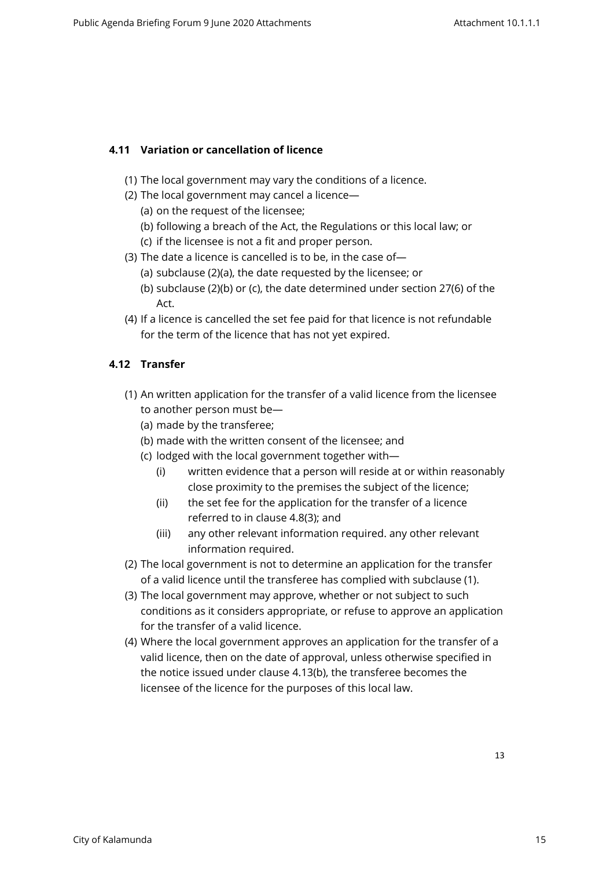## <span id="page-12-0"></span>**4.11 Variation or cancellation of licence**

- (1) The local government may vary the conditions of a licence.
- (2) The local government may cancel a licence—
	- (a) on the request of the licensee;
	- (b) following a breach of the Act, the Regulations or this local law; or
	- (c) if the licensee is not a fit and proper person.
- (3) The date a licence is cancelled is to be, in the case of—
	- (a) subclause (2)(a), the date requested by the licensee; or
	- (b) subclause (2)(b) or (c), the date determined under section 27(6) of the Act.
- (4) If a licence is cancelled the set fee paid for that licence is not refundable for the term of the licence that has not yet expired.

## <span id="page-12-1"></span>**4.12 Transfer**

- (1) An written application for the transfer of a valid licence from the licensee to another person must be—
	- (a) made by the transferee;
	- (b) made with the written consent of the licensee; and
	- (c) lodged with the local government together with—
		- (i) written evidence that a person will reside at or within reasonably close proximity to the premises the subject of the licence;
		- (ii) the set fee for the application for the transfer of a licence referred to in clause 4.8(3); and
		- (iii) any other relevant information required. any other relevant information required.
- (2) The local government is not to determine an application for the transfer of a valid licence until the transferee has complied with subclause (1).
- (3) The local government may approve, whether or not subject to such conditions as it considers appropriate, or refuse to approve an application for the transfer of a valid licence.
- (4) Where the local government approves an application for the transfer of a valid licence, then on the date of approval, unless otherwise specified in the notice issued under clause 4.13(b), the transferee becomes the licensee of the licence for the purposes of this local law.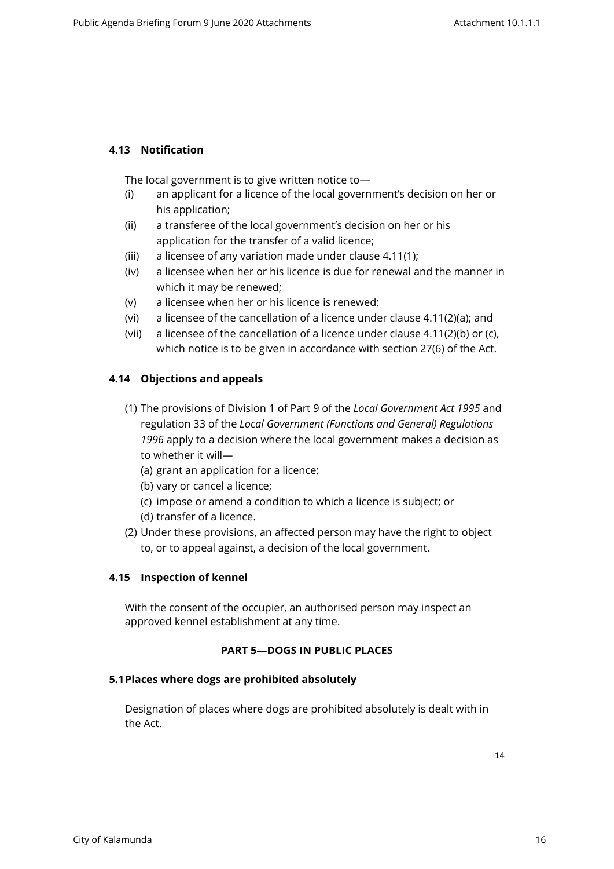## <span id="page-13-0"></span>**4.13 Notification**

The local government is to give written notice to—

- (i) an applicant for a licence of the local government's decision on her or his application;
- (ii) a transferee of the local government's decision on her or his application for the transfer of a valid licence;
- (iii) a licensee of any variation made under clause 4.11(1);
- (iv) a licensee when her or his licence is due for renewal and the manner in which it may be renewed;
- (v) a licensee when her or his licence is renewed;
- (vi) a licensee of the cancellation of a licence under clause 4.11(2)(a); and
- (vii) a licensee of the cancellation of a licence under clause 4.11(2)(b) or (c), which notice is to be given in accordance with section 27(6) of the Act.

## <span id="page-13-1"></span>**4.14 Objections and appeals**

- (1) The provisions of Division 1 of Part 9 of the *Local Government Act 1995* and regulation 33 of the *Local Government (Functions and General) Regulations 1996* apply to a decision where the local government makes a decision as to whether it will—
	- (a) grant an application for a licence;
	- (b) vary or cancel a licence;
	- (c) impose or amend a condition to which a licence is subject; or
	- (d) transfer of a licence.
- (2) Under these provisions, an affected person may have the right to object to, or to appeal against, a decision of the local government.

### <span id="page-13-2"></span>**4.15 Inspection of kennel**

With the consent of the occupier, an authorised person may inspect an approved kennel establishment at any time.

## <span id="page-13-3"></span>**PART 5—DOGS IN PUBLIC PLACES**

### **5.1Places where dogs are prohibited absolutely**

<span id="page-13-4"></span>Designation of places where dogs are prohibited absolutely is dealt with in the Act.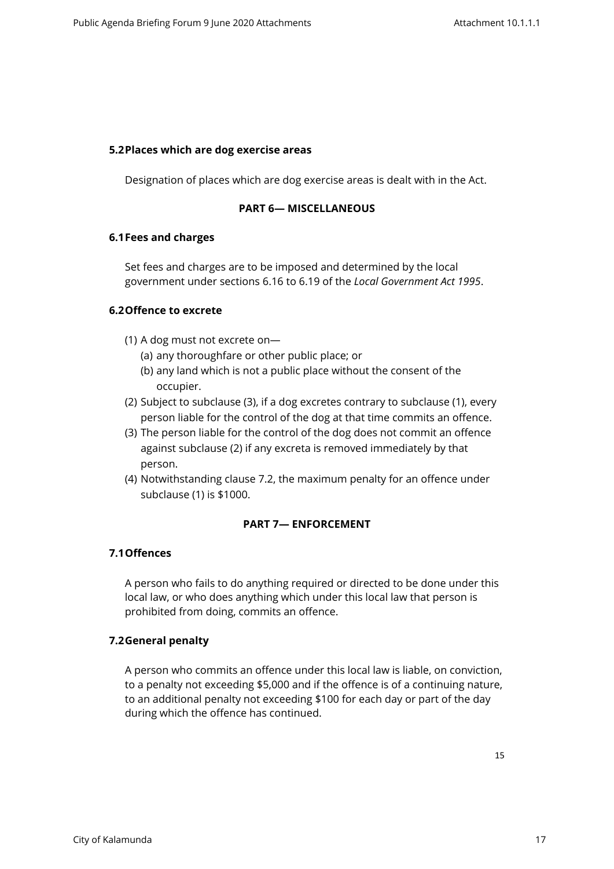#### <span id="page-14-0"></span>**5.2Places which are dog exercise areas**

Designation of places which are dog exercise areas is dealt with in the Act.

#### <span id="page-14-1"></span>**PART 6— MISCELLANEOUS**

#### <span id="page-14-2"></span>**6.1Fees and charges**

Set fees and charges are to be imposed and determined by the local government under sections 6.16 to 6.19 of the *Local Government Act 1995*.

### <span id="page-14-3"></span>**6.2Offence to excrete**

- (1) A dog must not excrete on—
	- (a) any thoroughfare or other public place; or
	- (b) any land which is not a public place without the consent of the occupier.
- (2) Subject to subclause (3), if a dog excretes contrary to subclause (1), every person liable for the control of the dog at that time commits an offence.
- (3) The person liable for the control of the dog does not commit an offence against subclause (2) if any excreta is removed immediately by that person.
- (4) Notwithstanding clause 7.2, the maximum penalty for an offence under subclause (1) is \$1000.

### <span id="page-14-4"></span>**PART 7— ENFORCEMENT**

### <span id="page-14-5"></span>**7.1Offences**

A person who fails to do anything required or directed to be done under this local law, or who does anything which under this local law that person is prohibited from doing, commits an offence.

### <span id="page-14-6"></span>**7.2General penalty**

A person who commits an offence under this local law is liable, on conviction, to a penalty not exceeding \$5,000 and if the offence is of a continuing nature, to an additional penalty not exceeding \$100 for each day or part of the day during which the offence has continued.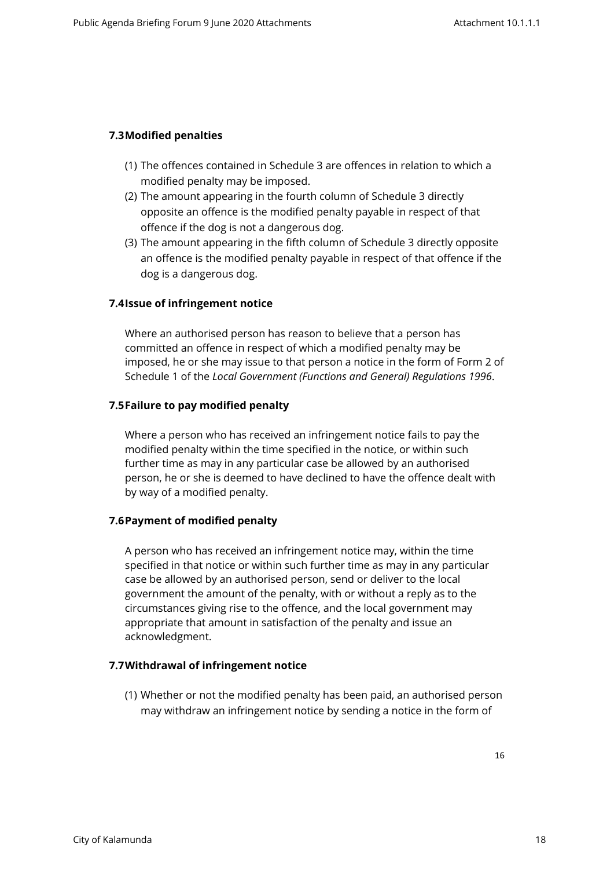## <span id="page-15-0"></span>**7.3Modified penalties**

- (1) The offences contained in Schedule 3 are offences in relation to which a modified penalty may be imposed.
- (2) The amount appearing in the fourth column of Schedule 3 directly opposite an offence is the modified penalty payable in respect of that offence if the dog is not a dangerous dog.
- (3) The amount appearing in the fifth column of Schedule 3 directly opposite an offence is the modified penalty payable in respect of that offence if the dog is a dangerous dog.

### <span id="page-15-1"></span>**7.4Issue of infringement notice**

Where an authorised person has reason to believe that a person has committed an offence in respect of which a modified penalty may be imposed, he or she may issue to that person a notice in the form of Form 2 of Schedule 1 of the *Local Government (Functions and General) Regulations 1996*.

### <span id="page-15-2"></span>**7.5Failure to pay modified penalty**

Where a person who has received an infringement notice fails to pay the modified penalty within the time specified in the notice, or within such further time as may in any particular case be allowed by an authorised person, he or she is deemed to have declined to have the offence dealt with by way of a modified penalty.

### <span id="page-15-3"></span>**7.6Payment of modified penalty**

A person who has received an infringement notice may, within the time specified in that notice or within such further time as may in any particular case be allowed by an authorised person, send or deliver to the local government the amount of the penalty, with or without a reply as to the circumstances giving rise to the offence, and the local government may appropriate that amount in satisfaction of the penalty and issue an acknowledgment.

## **7.7Withdrawal of infringement notice**

<span id="page-15-4"></span>(1) Whether or not the modified penalty has been paid, an authorised person may withdraw an infringement notice by sending a notice in the form of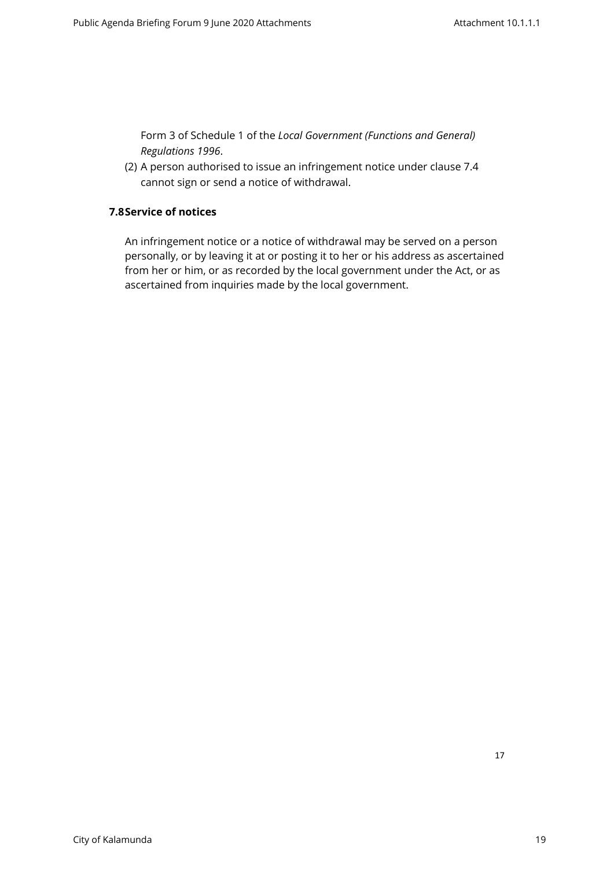Form 3 of Schedule 1 of the *Local Government (Functions and General) Regulations 1996*.

<span id="page-16-0"></span>(2) A person authorised to issue an infringement notice under clause 7.4 cannot sign or send a notice of withdrawal.

## **7.8Service of notices**

An infringement notice or a notice of withdrawal may be served on a person personally, or by leaving it at or posting it to her or his address as ascertained from her or him, or as recorded by the local government under the Act, or as ascertained from inquiries made by the local government.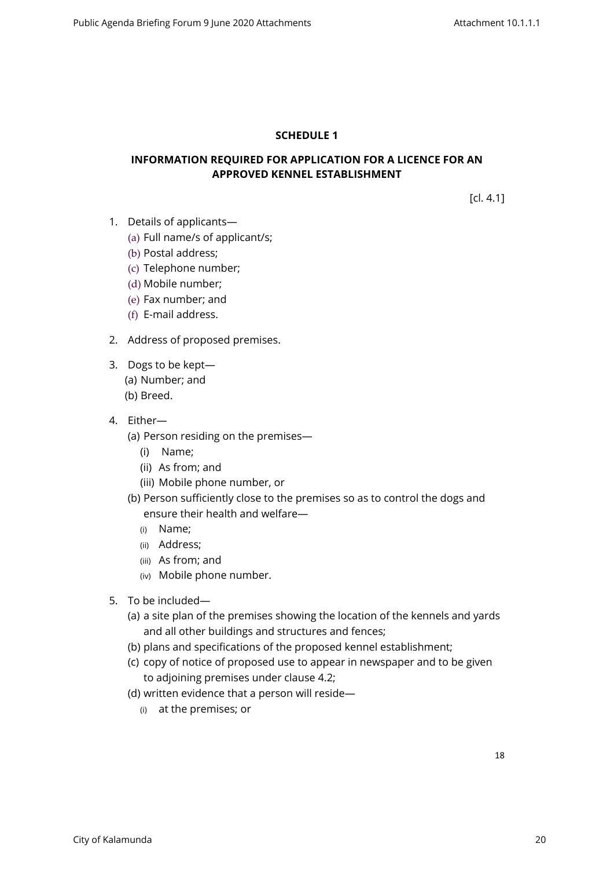## <span id="page-17-0"></span>**SCHEDULE 1**

## **INFORMATION REQUIRED FOR APPLICATION FOR A LICENCE FOR AN APPROVED KENNEL ESTABLISHMENT**

[cl. 4.1]

- 1. Details of applicants—
	- (a) Full name/s of applicant/s;
	- (b) Postal address;
	- (c) Telephone number;
	- (d) Mobile number;
	- (e) Fax number; and
	- (f) E-mail address.
- 2. Address of proposed premises.
- 3. Dogs to be kept—
	- (a) Number; and
	- (b) Breed.
- 4. Either—
	- (a) Person residing on the premises—
		- (i) Name;
		- (ii) As from; and
		- (iii) Mobile phone number, or
	- (b) Person sufficiently close to the premises so as to control the dogs and ensure their health and welfare—
		- (i) Name;
		- (ii) Address;
		- (iii) As from; and
		- (iv) Mobile phone number.
- 5. To be included—
	- (a) a site plan of the premises showing the location of the kennels and yards and all other buildings and structures and fences;
	- (b) plans and specifications of the proposed kennel establishment;
	- (c) copy of notice of proposed use to appear in newspaper and to be given to adjoining premises under clause 4.2;
	- (d) written evidence that a person will reside—
		- (i) at the premises; or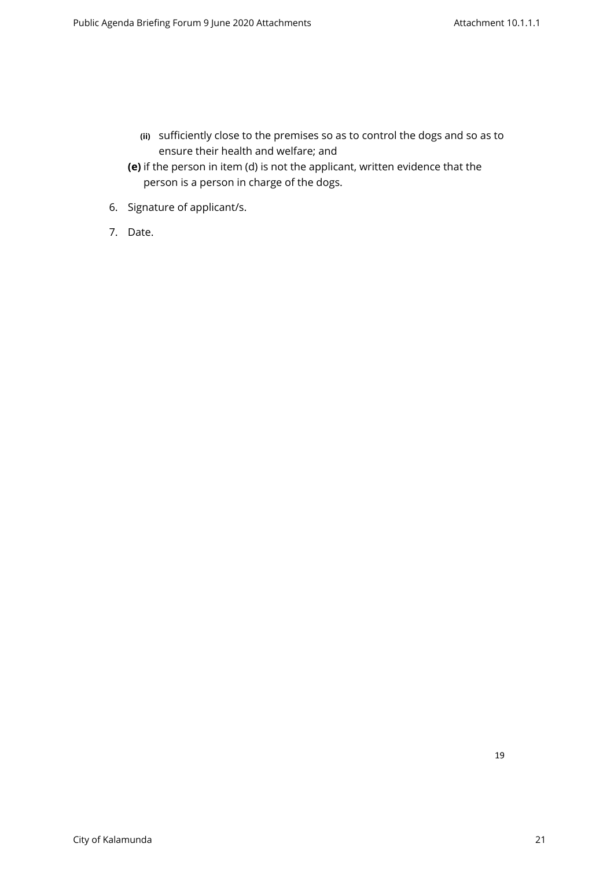- **(ii)** sufficiently close to the premises so as to control the dogs and so as to ensure their health and welfare; and
- **(e)** if the person in item (d) is not the applicant, written evidence that the person is a person in charge of the dogs.
- 6. Signature of applicant/s.
- 7. Date.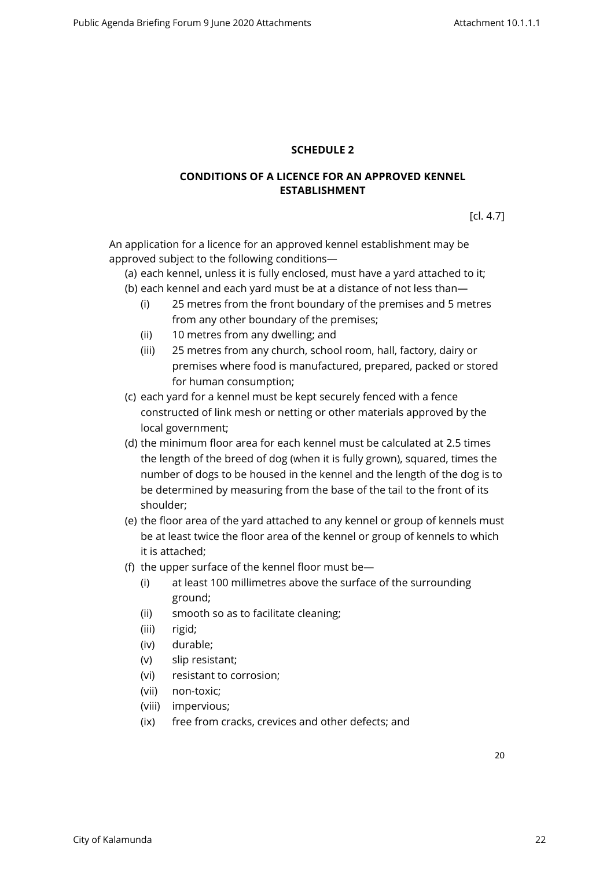## <span id="page-19-0"></span>**SCHEDULE 2**

## **CONDITIONS OF A LICENCE FOR AN APPROVED KENNEL ESTABLISHMENT**

[cl. 4.7]

An application for a licence for an approved kennel establishment may be approved subject to the following conditions—

(a) each kennel, unless it is fully enclosed, must have a yard attached to it;

- (b) each kennel and each yard must be at a distance of not less than—
	- (i) 25 metres from the front boundary of the premises and 5 metres from any other boundary of the premises;
	- (ii) 10 metres from any dwelling; and
	- (iii) 25 metres from any church, school room, hall, factory, dairy or premises where food is manufactured, prepared, packed or stored for human consumption;
- (c) each yard for a kennel must be kept securely fenced with a fence constructed of link mesh or netting or other materials approved by the local government;
- (d) the minimum floor area for each kennel must be calculated at 2.5 times the length of the breed of dog (when it is fully grown), squared, times the number of dogs to be housed in the kennel and the length of the dog is to be determined by measuring from the base of the tail to the front of its shoulder;
- (e) the floor area of the yard attached to any kennel or group of kennels must be at least twice the floor area of the kennel or group of kennels to which it is attached;
- (f) the upper surface of the kennel floor must be—
	- (i) at least 100 millimetres above the surface of the surrounding ground;
	- (ii) smooth so as to facilitate cleaning;
	- (iii) rigid;
	- (iv) durable;
	- (v) slip resistant;
	- (vi) resistant to corrosion;
	- (vii) non-toxic;
	- (viii) impervious;
	- (ix) free from cracks, crevices and other defects; and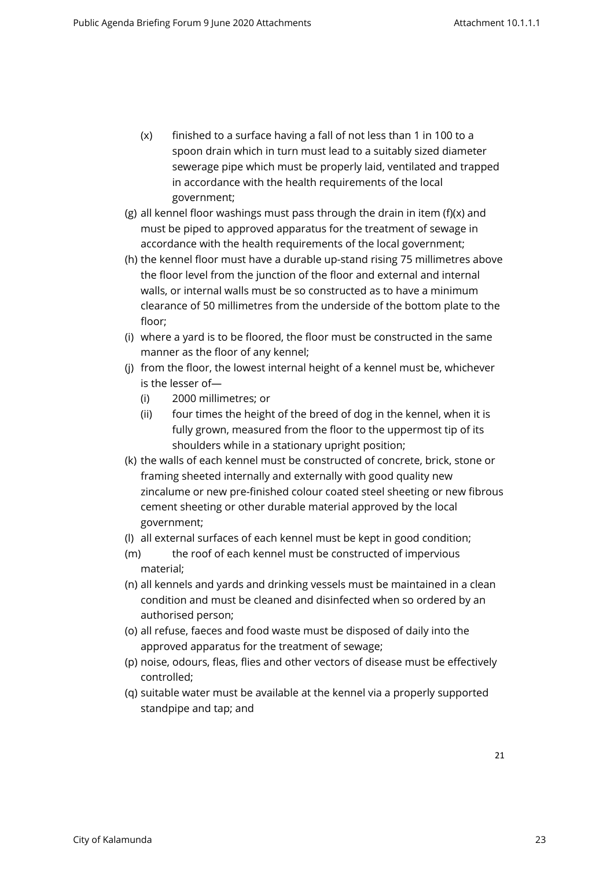- (x) finished to a surface having a fall of not less than 1 in 100 to a spoon drain which in turn must lead to a suitably sized diameter sewerage pipe which must be properly laid, ventilated and trapped in accordance with the health requirements of the local government;
- (g) all kennel floor washings must pass through the drain in item (f)(x) and must be piped to approved apparatus for the treatment of sewage in accordance with the health requirements of the local government;
- (h) the kennel floor must have a durable up-stand rising 75 millimetres above the floor level from the junction of the floor and external and internal walls, or internal walls must be so constructed as to have a minimum clearance of 50 millimetres from the underside of the bottom plate to the floor;
- (i) where a yard is to be floored, the floor must be constructed in the same manner as the floor of any kennel;
- (j) from the floor, the lowest internal height of a kennel must be, whichever is the lesser of—
	- (i) 2000 millimetres; or
	- (ii) four times the height of the breed of dog in the kennel, when it is fully grown, measured from the floor to the uppermost tip of its shoulders while in a stationary upright position;
- (k) the walls of each kennel must be constructed of concrete, brick, stone or framing sheeted internally and externally with good quality new zincalume or new pre-finished colour coated steel sheeting or new fibrous cement sheeting or other durable material approved by the local government;
- (l) all external surfaces of each kennel must be kept in good condition;
- (m) the roof of each kennel must be constructed of impervious material;
- (n) all kennels and yards and drinking vessels must be maintained in a clean condition and must be cleaned and disinfected when so ordered by an authorised person;
- (o) all refuse, faeces and food waste must be disposed of daily into the approved apparatus for the treatment of sewage;
- (p) noise, odours, fleas, flies and other vectors of disease must be effectively controlled;
- (q) suitable water must be available at the kennel via a properly supported standpipe and tap; and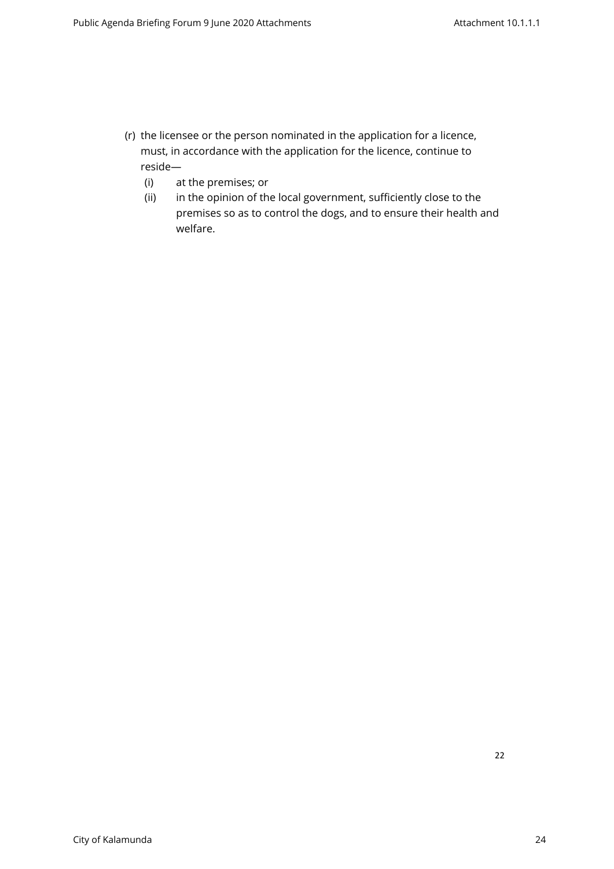- (r) the licensee or the person nominated in the application for a licence, must, in accordance with the application for the licence, continue to reside—
	- (i) at the premises; or
	- (ii) in the opinion of the local government, sufficiently close to the premises so as to control the dogs, and to ensure their health and welfare.